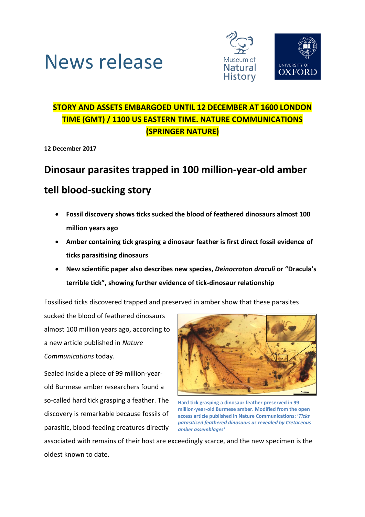



### **STORY AND ASSETS EMBARGOED UNTIL 12 DECEMBER AT 1600 LONDON TIME (GMT) / 1100 US EASTERN TIME. NATURE COMMUNICATIONS (SPRINGER NATURE)**

**12 December 2017**

# **Dinosaur parasites trapped in 100 million-year-old amber**

## **tell blood-sucking story**

- **Fossil discovery shows ticks sucked the blood of feathered dinosaurs almost 100 million years ago**
- **Amber containing tick grasping a dinosaur feather is first direct fossil evidence of ticks parasitising dinosaurs**
- **New scientific paper also describes new species,** *Deinocroton draculi* **or "Dracula's terrible tick", showing further evidence of tick-dinosaur relationship**

Fossilised ticks discovered trapped and preserved in amber show that these parasites

sucked the blood of feathered dinosaurs almost 100 million years ago, according to a new article published in *Nature Communications* today.

Sealed inside a piece of 99 million-yearold Burmese amber researchers found a so-called hard tick grasping a feather. The discovery is remarkable because fossils of parasitic, blood-feeding creatures directly



**Hard tick grasping a dinosaur feather preserved in 99 million-year-old Burmese amber. Modified from the open access article published in Nature Communications: '***Ticks parasitised feathered dinosaurs as revealed by Cretaceous amber assemblages'*

associated with remains of their host are exceedingly scarce, and the new specimen is the oldest known to date.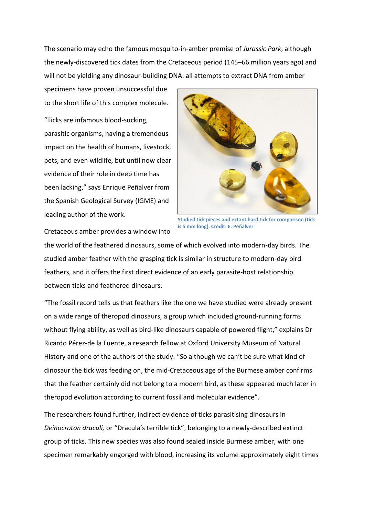The scenario may echo the famous mosquito-in-amber premise of *Jurassic Park*, although the newly-discovered tick dates from the Cretaceous period (145–66 million years ago) and will not be yielding any dinosaur-building DNA: all attempts to extract DNA from amber

specimens have proven unsuccessful due to the short life of this complex molecule.

"Ticks are infamous blood-sucking, parasitic organisms, having a tremendous impact on the health of humans, livestock, pets, and even wildlife, but until now clear evidence of their role in deep time has been lacking," says Enrique Peñalver from the Spanish Geological Survey (IGME) and leading author of the work.



**Studied tick pieces and extant hard tick for comparison (tick is 5 mm long). Credit: E. Peñalver**

Cretaceous amber provides a window into

the world of the feathered dinosaurs, some of which evolved into modern-day birds. The studied amber feather with the grasping tick is similar in structure to modern-day bird feathers, and it offers the first direct evidence of an early parasite-host relationship between ticks and feathered dinosaurs.

"The fossil record tells us that feathers like the one we have studied were already present on a wide range of theropod dinosaurs, a group which included ground-running forms without flying ability, as well as bird-like dinosaurs capable of powered flight," explains Dr Ricardo Pérez-de la Fuente, a research fellow at Oxford University Museum of Natural History and one of the authors of the study. "So although we can't be sure what kind of dinosaur the tick was feeding on, the mid-Cretaceous age of the Burmese amber confirms that the feather certainly did not belong to a modern bird, as these appeared much later in theropod evolution according to current fossil and molecular evidence".

The researchers found further, indirect evidence of ticks parasitising dinosaurs in *Deinocroton draculi,* or "Dracula's terrible tick", belonging to a newly-described extinct group of ticks. This new species was also found sealed inside Burmese amber, with one specimen remarkably engorged with blood, increasing its volume approximately eight times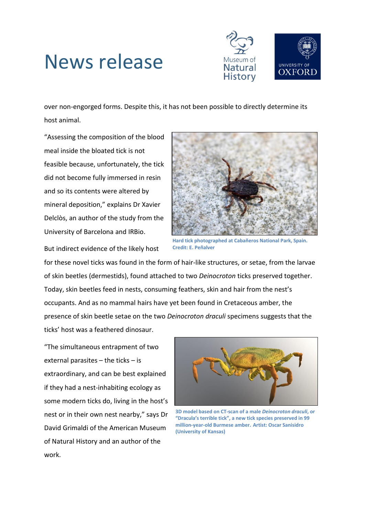# News release



over non-engorged forms. Despite this, it has not been possible to directly determine its host animal.

"Assessing the composition of the blood meal inside the bloated tick is not feasible because, unfortunately, the tick did not become fully immersed in resin and so its contents were altered by mineral deposition," explains Dr Xavier Delclòs, an author of the study from the University of Barcelona and IRBio.



**Hard tick photographed at Cabañeros National Park, Spain. Credit: E. Peñalver**

But indirect evidence of the likely host

for these novel ticks was found in the form of hair-like structures, or setae, from the larvae of skin beetles (dermestids), found attached to two *Deinocroton* ticks preserved together. Today, skin beetles feed in nests, consuming feathers, skin and hair from the nest's occupants. And as no mammal hairs have yet been found in Cretaceous amber, the presence of skin beetle setae on the two *Deinocroton draculi* specimens suggests that the ticks' host was a feathered dinosaur.

"The simultaneous entrapment of two external parasites – the ticks – is extraordinary, and can be best explained if they had a nest-inhabiting ecology as some modern ticks do, living in the host's nest or in their own nest nearby," says Dr David Grimaldi of the American Museum of Natural History and an author of the work.



**3D model based on CT-scan of a male** *Deinocroton draculi***, or "Dracula's terrible tick", a new tick species preserved in 99 million-year-old Burmese amber. Artist: Oscar Sanisidro (University of Kansas)**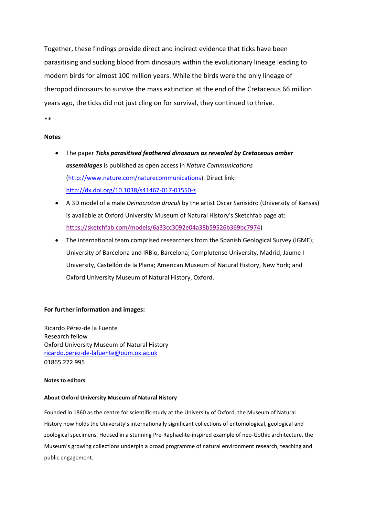Together, these findings provide direct and indirect evidence that ticks have been parasitising and sucking blood from dinosaurs within the evolutionary lineage leading to modern birds for almost 100 million years. While the birds were the only lineage of theropod dinosaurs to survive the mass extinction at the end of the Cretaceous 66 million years ago, the ticks did not just cling on for survival, they continued to thrive.

\*\*

#### **Notes**

- The paper *Ticks parasitised feathered dinosaurs as revealed by Cretaceous amber assemblages* is published as open access in *Nature Communications* [\(http://www.nature.com/naturecommunications\)](https://owa.nexus.ox.ac.uk/owa/redir.aspx?SURL=b9wLOzkX1wEvq_GHf4joTb9g9W5XuW_3j5RogIxoiAhKnQ6KFTzVCGgAdAB0AHAAOgAvAC8AdwB3AHcALgBuAGEAdAB1AHIAZQAuAGMAbwBtAC8AbgBhAHQAdQByAGUAYwBvAG0AbQB1AG4AaQBjAGEAdABpAG8AbgBzAA..&URL=http%3a%2f%2fwww.nature.com%2fnaturecommunications). Direct link: <http://dx.doi.org/10.1038/s41467-017-01550-z>
- A 3D model of a male *Deinocroton draculi* by the artist Oscar Sanisidro (University of Kansas) is available at Oxford University Museum of Natural History's Sketchfab page at: [https://sketchfab.com/models/6a33cc3092e04a38b59526b369bc7974\)](https://sketchfab.com/models/6a33cc3092e04a38b59526b369bc7974)
- The international team comprised researchers from the Spanish Geological Survey (IGME); University of Barcelona and IRBio, Barcelona; Complutense University, Madrid; Jaume I University, Castellón de la Plana; American Museum of Natural History, New York; and Oxford University Museum of Natural History, Oxford.

#### **For further information and images:**

Ricardo Pérez-de la Fuente Research fellow Oxford University Museum of Natural History [ricardo.perez-de-lafuente@oum.ox.ac.uk](mailto:ricardo.perez-de-lafuente@oum.ox.ac.uk) 01865 272 995

#### **Notes to editors**

#### **About Oxford University Museum of Natural History**

Founded in 1860 as the centre for scientific study at the University of Oxford, the Museum of Natural History now holds the University's internationally significant collections of entomological, geological and zoological specimens. Housed in a stunning Pre-Raphaelite-inspired example of neo-Gothic architecture, the Museum's growing collections underpin a broad programme of natural environment research, teaching and public engagement.